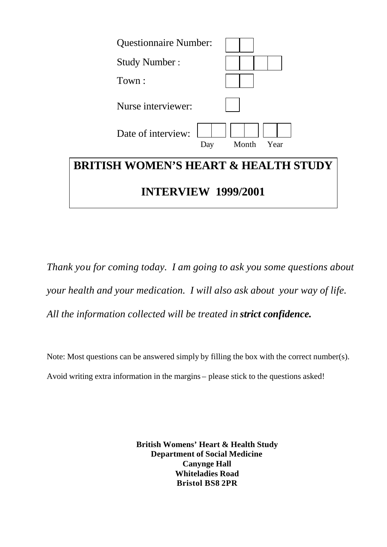

*Thank you for coming today. I am going to ask you some questions about your health and your medication. I will also ask about your way of life. All the information collected will be treated in strict confidence.* 

Note: Most questions can be answered simply by filling the box with the correct number(s). Avoid writing extra information in the margins – please stick to the questions asked!

> **British Womens' Heart & Health Study Department of Social Medicine Canynge Hall Whiteladies Road Bristol BS8 2PR**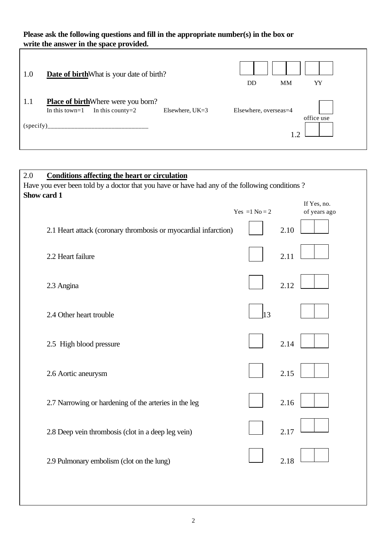# **Please ask the following questions and fill in the appropriate number(s) in the box or write the answer in the space provided.**

| $\vert 1.0 \vert$ | <b>Date of birth</b> What is your date of birth?                                       |                 | DD                    | <b>MM</b> | YY         |
|-------------------|----------------------------------------------------------------------------------------|-----------------|-----------------------|-----------|------------|
| $\vert 1.1 \vert$ | <b>Place of birth</b> Where were you born?<br>In this county= $2$<br>In this town= $1$ | Elsewhere, UK=3 | Elsewhere, overseas=4 |           |            |
| (specify)         |                                                                                        |                 |                       | 1 າ       | office use |

| 2.0<br><b>Conditions affecting the heart or circulation</b><br>Have you ever been told by a doctor that you have or have had any of the following conditions? |                  |                             |  |  |  |
|---------------------------------------------------------------------------------------------------------------------------------------------------------------|------------------|-----------------------------|--|--|--|
| Show card 1                                                                                                                                                   | Yes = $1 No = 2$ | If Yes, no.<br>of years ago |  |  |  |
| 2.1 Heart attack (coronary thrombosis or myocardial infarction)                                                                                               |                  | 2.10                        |  |  |  |
| 2.2 Heart failure                                                                                                                                             |                  | 2.11                        |  |  |  |
| 2.3 Angina                                                                                                                                                    |                  | 2.12                        |  |  |  |
| 2.4 Other heart trouble                                                                                                                                       | 13               |                             |  |  |  |
| 2.5 High blood pressure                                                                                                                                       |                  | 2.14                        |  |  |  |
| 2.6 Aortic aneurysm                                                                                                                                           |                  | 2.15                        |  |  |  |
| 2.7 Narrowing or hardening of the arteries in the leg                                                                                                         |                  | 2.16                        |  |  |  |
| 2.8 Deep vein thrombosis (clot in a deep leg vein)                                                                                                            |                  | 2.17                        |  |  |  |
| 2.9 Pulmonary embolism (clot on the lung)                                                                                                                     |                  | 2.18                        |  |  |  |
|                                                                                                                                                               |                  |                             |  |  |  |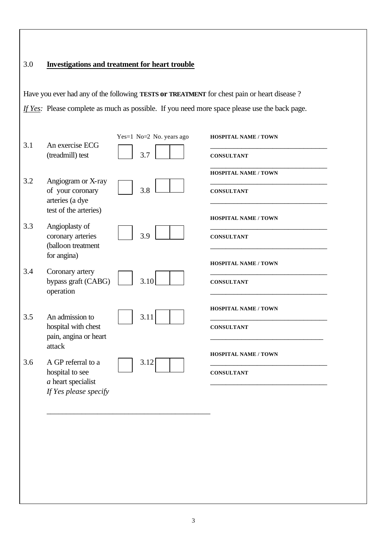## 3.0 **Investigations and treatment for heart trouble**

Have you ever had any of the following **TESTS or TREATMENT** for chest pain or heart disease ? *If Yes:* Please complete as much as possible. If you need more space please use the back page.

| 3.1 | An exercise ECG<br>(treadmill) test                                                    | Yes=1 No=2 No. years ago<br>3.7 | <b>HOSPITAL NAME / TOWN</b><br><b>CONSULTANT</b> |
|-----|----------------------------------------------------------------------------------------|---------------------------------|--------------------------------------------------|
| 3.2 | Angiogram or X-ray<br>of your coronary<br>arteries (a dye<br>test of the arteries)     | 3.8                             | <b>HOSPITAL NAME / TOWN</b><br><b>CONSULTANT</b> |
| 3.3 | Angioplasty of<br>coronary arteries<br>(balloon treatment<br>for angina)               | 3.9                             | <b>HOSPITAL NAME / TOWN</b><br><b>CONSULTANT</b> |
| 3.4 | Coronary artery<br>bypass graft (CABG)<br>operation                                    | 3.10                            | <b>HOSPITAL NAME / TOWN</b><br><b>CONSULTANT</b> |
| 3.5 | An admission to<br>hospital with chest<br>pain, angina or heart<br>attack              | 3.11                            | <b>HOSPITAL NAME / TOWN</b><br><b>CONSULTANT</b> |
| 3.6 | A GP referral to a<br>hospital to see<br>$a$ heart specialist<br>If Yes please specify | 3.12                            | <b>HOSPITAL NAME / TOWN</b><br><b>CONSULTANT</b> |

\_\_\_\_\_\_\_\_\_\_\_\_\_\_\_\_\_\_\_\_\_\_\_\_\_\_\_\_\_\_\_\_\_\_\_\_\_\_\_\_\_\_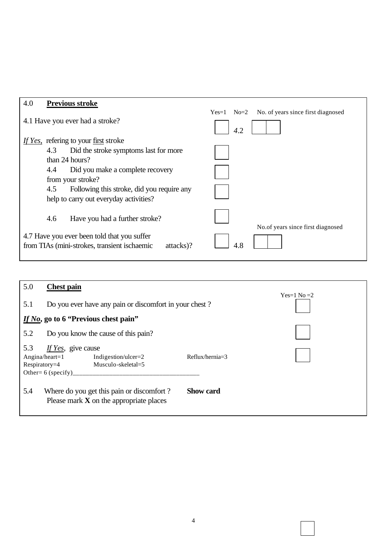| 4.0 |     | <b>Previous stroke</b>                                    |         |        |                                    |
|-----|-----|-----------------------------------------------------------|---------|--------|------------------------------------|
|     |     |                                                           | $Yes=1$ | $No=2$ | No. of years since first diagnosed |
|     |     | 4.1 Have you ever had a stroke?                           |         | 4.2    |                                    |
|     |     | If Yes, refering to your <u>first</u> stroke              |         |        |                                    |
|     | 4.3 | Did the stroke symptoms last for more                     |         |        |                                    |
|     |     | than 24 hours?                                            |         |        |                                    |
|     | 4.4 | Did you make a complete recovery                          |         |        |                                    |
|     |     | from your stroke?                                         |         |        |                                    |
|     | 4.5 | Following this stroke, did you require any                |         |        |                                    |
|     |     | help to carry out everyday activities?                    |         |        |                                    |
|     | 4.6 | Have you had a further stroke?                            |         |        |                                    |
|     |     |                                                           |         |        | No. of years since first diagnosed |
|     |     | 4.7 Have you ever been told that you suffer               |         |        |                                    |
|     |     | from TIAs (mini-strokes, transient ischaemic<br>attacks)? |         | 4.8    |                                    |
|     |     |                                                           |         |        |                                    |

| 5.0                    | <b>Chest pain</b>                                                                                               |                   |  |
|------------------------|-----------------------------------------------------------------------------------------------------------------|-------------------|--|
| 5.1                    | Do you ever have any pain or discomfort in your chest?                                                          | $Yes=1 No=2$      |  |
|                        | If No, go to 6 "Previous chest pain"                                                                            |                   |  |
| 5.2                    | Do you know the cause of this pain?                                                                             |                   |  |
| 5.3<br>$Respiratory=4$ | If Yes, give cause<br>Angina/heart= $1$<br>Indigestion/ulcer= $2$<br>Musculo-skeletal=5<br>Other= $6$ (specify) | $Reflux/hernia=3$ |  |
| 5.4                    | Where do you get this pain or discomfort?<br>Please mark $X$ on the appropriate places                          | <b>Show card</b>  |  |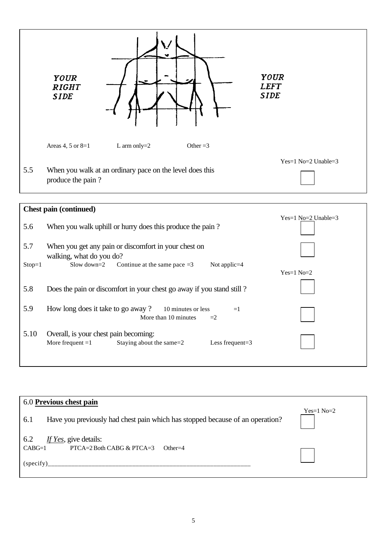

|          | <b>Chest pain (continued)</b>                                                                                 |                       |
|----------|---------------------------------------------------------------------------------------------------------------|-----------------------|
| 5.6      | When you walk uphill or hurry does this produce the pain?                                                     | $Yes=1 No=2 Unable=3$ |
| 5.7      | When you get any pain or discomfort in your chest on<br>walking, what do you do?                              |                       |
| $Stop=1$ | Slow down= $2$<br>Continue at the same pace $=3$<br>Not applic $=4$                                           | $Yes=1 No=2$          |
| 5.8      | Does the pain or discomfort in your chest go away if you stand still?                                         |                       |
| 5.9      | How long does it take to go away?<br>10 minutes or less<br>$=1$<br>More than 10 minutes<br>$=2$               |                       |
| 5.10     | Overall, is your chest pain becoming:<br>More frequent $=1$<br>Staying about the same=2<br>Less frequent= $3$ |                       |

| 6.0 Previous chest pain                                                              |              |  |  |  |
|--------------------------------------------------------------------------------------|--------------|--|--|--|
|                                                                                      |              |  |  |  |
| Have you previously had chest pain which has stopped because of an operation?<br>6.1 | $Yes=1 No=2$ |  |  |  |
| 6.2<br>If Yes, give details:                                                         |              |  |  |  |
| $CABG=1$<br>PTCA=2 Both CABG & PTCA=3<br>$Other=4$                                   |              |  |  |  |
| (specify)                                                                            |              |  |  |  |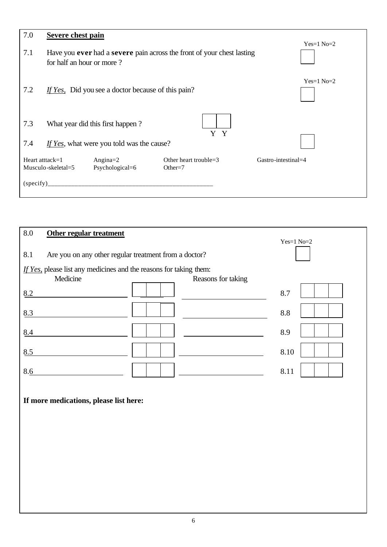| 7.0             | Severe chest pain         |                                                    |                                                                                      |                     |
|-----------------|---------------------------|----------------------------------------------------|--------------------------------------------------------------------------------------|---------------------|
| 7.1             | for half an hour or more? |                                                    | Have you <b>ever</b> had a <b>severe</b> pain across the front of your chest lasting | $Yes=1 No=2$        |
| 7.2             |                           | If Yes, Did you see a doctor because of this pain? |                                                                                      | $Yes=1 No=2$        |
| 7.3             |                           | What year did this first happen?                   | Y Y                                                                                  |                     |
| 7.4             |                           | If Yes, what were you told was the cause?          |                                                                                      |                     |
| Heart atttack=1 | Musculo-skeletal=5        | Angina $=$ 2<br>Psychological=6                    | Other heart trouble=3<br>Other= $7$                                                  | Gastro-intestinal=4 |
| (specify)       |                           |                                                    |                                                                                      |                     |

| 8.0<br>Other regular treatment                                     |                    |              |  |  |  |
|--------------------------------------------------------------------|--------------------|--------------|--|--|--|
|                                                                    |                    | $Yes=1 No=2$ |  |  |  |
| 8.1<br>Are you on any other regular treatment from a doctor?       |                    |              |  |  |  |
| If Yes, please list any medicines and the reasons for taking them: |                    |              |  |  |  |
| Medicine                                                           | Reasons for taking |              |  |  |  |
| 8.2                                                                |                    | 8.7          |  |  |  |
| 8.3                                                                |                    | 8.8          |  |  |  |
| 8.4                                                                |                    | 8.9          |  |  |  |
| 8.5                                                                |                    | 8.10         |  |  |  |
| 8.6                                                                |                    | 8.11         |  |  |  |
| If more medications, please list here:                             |                    |              |  |  |  |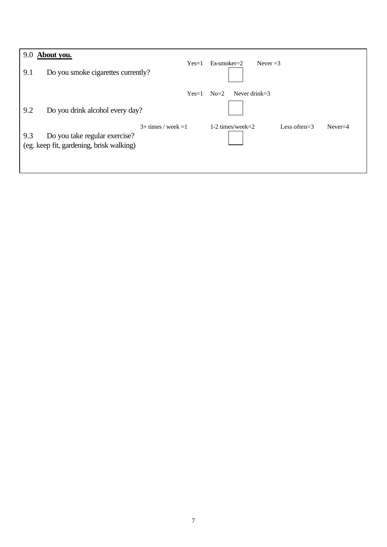| 9.0<br>9.1 | About you.<br>Do you smoke cigarettes currently?                          | $Yes=1$               | $Ex$ -smoker $=$ 2<br>Never $=3$                      |
|------------|---------------------------------------------------------------------------|-----------------------|-------------------------------------------------------|
|            |                                                                           | $Yes=1$               | Never drink= $3$<br>$No=2$                            |
| 9.2        | Do you drink alcohol every day?                                           |                       |                                                       |
| 9.3        | Do you take regular exercise?<br>(eg. keep fit, gardening, brisk walking) | $3+$ times / week = 1 | $1-2$ times/week= $2$<br>Less often= $3$<br>$Never=4$ |